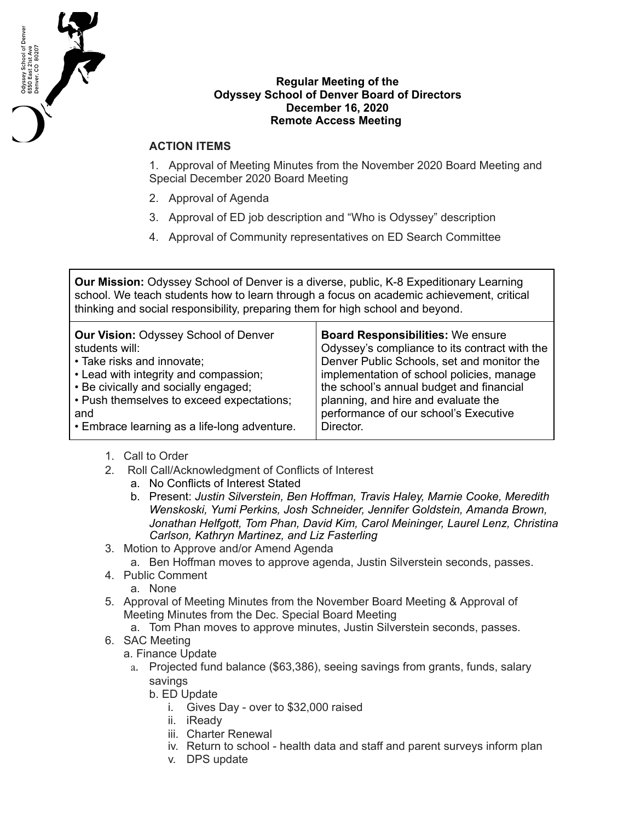

## **Regular Meeting of the Odyssey School of Denver Board of Directors December 16, 2020 Remote Access Meeting**

## **ACTION ITEMS**

1. Approval of Meeting Minutes from the November 2020 Board Meeting and Special December 2020 Board Meeting

- 2. Approval of Agenda
- 3. Approval of ED job description and "Who is Odyssey" description
- 4. Approval of Community representatives on ED Search Committee

**Our Mission:** Odyssey School of Denver is a diverse, public, K-8 Expeditionary Learning school. We teach students how to learn through a focus on academic achievement, critical thinking and social responsibility, preparing them for high school and beyond.

| <b>Our Vision: Odyssey School of Denver</b>  | <b>Board Responsibilities: We ensure</b>      |
|----------------------------------------------|-----------------------------------------------|
| students will:                               | Odyssey's compliance to its contract with the |
| • Take risks and innovate;                   | Denver Public Schools, set and monitor the    |
| • Lead with integrity and compassion;        | implementation of school policies, manage     |
| • Be civically and socially engaged;         | the school's annual budget and financial      |
| • Push themselves to exceed expectations;    | planning, and hire and evaluate the           |
| and                                          | performance of our school's Executive         |
| • Embrace learning as a life-long adventure. | Director.                                     |
|                                              |                                               |

- 1. Call to Order
- 2. Roll Call/Acknowledgment of Conflicts of Interest
	- a. No Conflicts of Interest Stated
	- b. Present: *Justin Silverstein, Ben Hoffman, Travis Haley, Marnie Cooke, Meredith Wenskoski, Yumi Perkins, Josh Schneider, Jennifer Goldstein, Amanda Brown, Jonathan Helfgott, Tom Phan, David Kim, Carol Meininger, Laurel Lenz, Christina Carlson, Kathryn Martinez, and Liz Fasterling*
- 3. Motion to Approve and/or Amend Agenda
	- a. Ben Hoffman moves to approve agenda, Justin Silverstein seconds, passes.
- 4. Public Comment
	- a. None
- 5. Approval of Meeting Minutes from the November Board Meeting & Approval of Meeting Minutes from the Dec. Special Board Meeting
	- a. Tom Phan moves to approve minutes, Justin Silverstein seconds, passes.
- 6. SAC Meeting
	- a. Finance Update
		- a. Projected fund balance (\$63,386), seeing savings from grants, funds, salary savings
			- b. ED Update
				- i. Gives Day over to \$32,000 raised
				- ii. iReady
				- iii. Charter Renewal
				- iv. Return to school health data and staff and parent surveys inform plan
				- v. DPS update